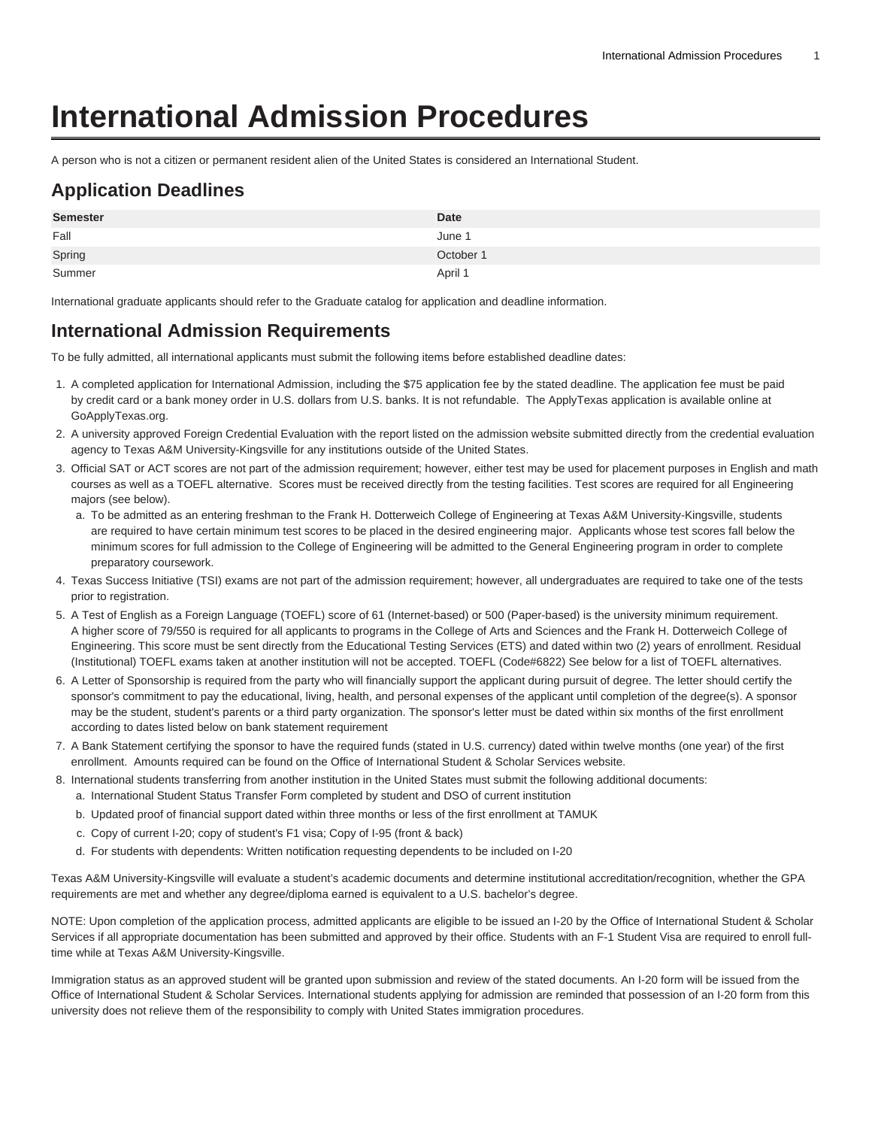# **International Admission Procedures**

A person who is not a citizen or permanent resident alien of the United States is considered an International Student.

## **Application Deadlines**

| <b>Semester</b> | <b>Date</b> |
|-----------------|-------------|
| Fall            | June 1      |
| Spring          | October 1   |
| Summer          | April 1     |

International graduate applicants should refer to the Graduate catalog for application and deadline information.

#### **International Admission Requirements**

To be fully admitted, all international applicants must submit the following items before established deadline dates:

- 1. A completed application for International Admission, including the \$75 application fee by the stated deadline. The application fee must be paid by credit card or a bank money order in U.S. dollars from U.S. banks. It is not refundable. The ApplyTexas application is available online at [GoApplyTexas.org](https://www.applytexas.org).
- 2. A university approved [Foreign Credential Evaluation](https://www.tamuk.edu/enrollment-management/admission/graduate/Foreign-Credential-Evaluation-Services.html) with the report listed on the [admission website](https://www.tamuk.edu/enrollment-management/admission/graduate/international.html) submitted directly from the credential evaluation agency to Texas A&M University-Kingsville for any institutions outside of the United States.
- 3. Official SAT or ACT scores are not part of the admission requirement; however, either test may be used for placement purposes in English and math courses as well as a TOEFL alternative. Scores must be received directly from the testing facilities. Test scores are required for all Engineering majors (see below).
	- a. To be admitted as an entering freshman to the Frank H. Dotterweich College of Engineering at Texas A&M University-Kingsville, students are required to have certain minimum test scores to be placed in the desired engineering major. Applicants whose test scores fall below the minimum scores for full admission to the College of Engineering will be admitted to the General Engineering program in order to complete preparatory coursework.
- 4. Texas Success Initiative (TSI) exams are not part of the admission requirement; however, all undergraduates are required to take one of the tests prior to registration.
- 5. A Test of English as a Foreign Language (TOEFL) score of 61 (Internet-based) or 500 (Paper-based) is the university minimum requirement. A higher score of 79/550 is required for all applicants to programs in the College of Arts and Sciences and the Frank H. Dotterweich College of Engineering. This score must be sent directly from the Educational Testing Services (ETS) and dated within two (2) years of enrollment. Residual (Institutional) TOEFL exams taken at another institution will not be accepted. TOEFL (Code#6822) See below for a list of TOEFL alternatives.
- 6. A Letter of Sponsorship is required from the party who will financially support the applicant during pursuit of degree. The letter should certify the sponsor's commitment to pay the educational, living, health, and personal expenses of the applicant until completion of the degree(s). A sponsor may be the student, student's parents or a third party organization. The sponsor's letter must be dated within six months of the first enrollment according to dates listed below on bank statement requirement
- 7. A Bank Statement certifying the sponsor to have the required funds (stated in U.S. currency) dated within twelve months (one year) of the first enrollment. Amounts required can be found on the [Office of International Student & Scholar Services](https://www.tamuk.edu/academicaffairssupport/oisss/) website.
- 8. International students transferring from another institution in the United States must submit the following additional documents:
	- a. International Student Status Transfer Form completed by student and DSO of current institution
	- b. Updated proof of financial support dated within three months or less of the first enrollment at TAMUK
	- c. Copy of current I-20; copy of student's F1 visa; Copy of I-95 (front & back)
	- d. For students with dependents: Written notification requesting dependents to be included on I-20

Texas A&M University-Kingsville will evaluate a student's academic documents and determine institutional accreditation/recognition, whether the GPA requirements are met and whether any degree/diploma earned is equivalent to a U.S. bachelor's degree.

NOTE: Upon completion of the application process, admitted applicants are eligible to be issued an I-20 by the [Office of International Student & Scholar](https://www.tamuk.edu/academicaffairssupport/oisss/) [Services](https://www.tamuk.edu/academicaffairssupport/oisss/) if all appropriate documentation has been submitted and approved by their office. Students with an F-1 Student Visa are required to enroll fulltime while at Texas A&M University-Kingsville.

Immigration status as an approved student will be granted upon submission and review of the stated documents. An I-20 form will be issued from the Office of International Student & Scholar Services. International students applying for admission are reminded that possession of an I-20 form from this university does not relieve them of the responsibility to comply with United States immigration procedures.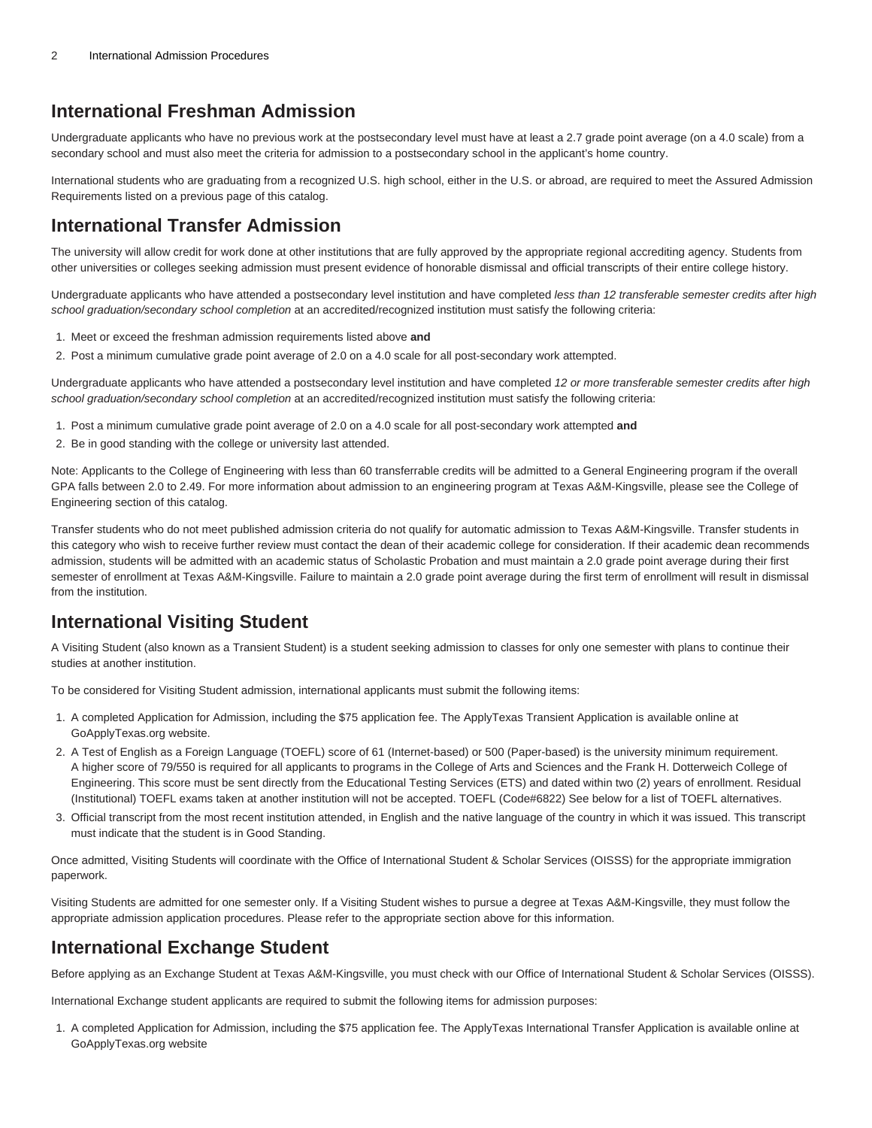#### **International Freshman Admission**

Undergraduate applicants who have no previous work at the postsecondary level must have at least a 2.7 grade point average (on a 4.0 scale) from a secondary school and must also meet the criteria for admission to a postsecondary school in the applicant's home country.

International students who are graduating from a recognized U.S. high school, either in the U.S. or abroad, are required to meet the Assured Admission Requirements listed on a previous page of this catalog.

#### **International Transfer Admission**

The university will allow credit for work done at other institutions that are fully approved by the appropriate regional accrediting agency. Students from other universities or colleges seeking admission must present evidence of honorable dismissal and official transcripts of their entire college history.

Undergraduate applicants who have attended a postsecondary level institution and have completed less than 12 transferable semester credits after high school graduation/secondary school completion at an accredited/recognized institution must satisfy the following criteria:

- 1. Meet or exceed the freshman admission requirements listed above **and**
- 2. Post a minimum cumulative grade point average of 2.0 on a 4.0 scale for all post-secondary work attempted.

Undergraduate applicants who have attended a postsecondary level institution and have completed 12 or more transferable semester credits after high school graduation/secondary school completion at an accredited/recognized institution must satisfy the following criteria:

- 1. Post a minimum cumulative grade point average of 2.0 on a 4.0 scale for all post-secondary work attempted **and**
- 2. Be in good standing with the college or university last attended.

Note: Applicants to the College of Engineering with less than 60 transferrable credits will be admitted to a General Engineering program if the overall GPA falls between 2.0 to 2.49. For more information about admission to an engineering program at Texas A&M-Kingsville, please see the College of Engineering section of this catalog.

Transfer students who do not meet published admission criteria do not qualify for automatic admission to Texas A&M-Kingsville. Transfer students in this category who wish to receive further review must contact the dean of their academic college for consideration. If their academic dean recommends admission, students will be admitted with an academic status of Scholastic Probation and must maintain a 2.0 grade point average during their first semester of enrollment at Texas A&M-Kingsville. Failure to maintain a 2.0 grade point average during the first term of enrollment will result in dismissal from the institution.

### **International Visiting Student**

A Visiting Student (also known as a Transient Student) is a student seeking admission to classes for only one semester with plans to continue their studies at another institution.

To be considered for Visiting Student admission, international applicants must submit the following items:

- 1. A completed Application for Admission, including the \$75 application fee. The ApplyTexas Transient Application is available online at [GoApplyTexas.org](https://www.goapplytexas.org/) website.
- 2. A Test of English as a Foreign Language (TOEFL) score of 61 (Internet-based) or 500 (Paper-based) is the university minimum requirement. A higher score of 79/550 is required for all applicants to programs in the College of Arts and Sciences and the Frank H. Dotterweich College of Engineering. This score must be sent directly from the Educational Testing Services (ETS) and dated within two (2) years of enrollment. Residual (Institutional) TOEFL exams taken at another institution will not be accepted. TOEFL (Code#6822) See below for a list of TOEFL alternatives.
- 3. Official transcript from the most recent institution attended, in English and the native language of the country in which it was issued. This transcript must indicate that the student is in Good Standing.

Once admitted, Visiting Students will coordinate with the Office of International Student & Scholar Services (OISSS) for the appropriate immigration paperwork.

Visiting Students are admitted for one semester only. If a Visiting Student wishes to pursue a degree at Texas A&M-Kingsville, they must follow the appropriate admission application procedures. Please refer to the appropriate section above for this information.

#### **International Exchange Student**

Before applying as an Exchange Student at Texas A&M-Kingsville, you must check with our Office of International Student & Scholar Services (OISSS).

International Exchange student applicants are required to submit the following items for admission purposes:

1. A completed Application for Admission, including the \$75 application fee. The ApplyTexas International Transfer Application is available online at [GoApplyTexas.org](https://www.goapplytexas.org/) website